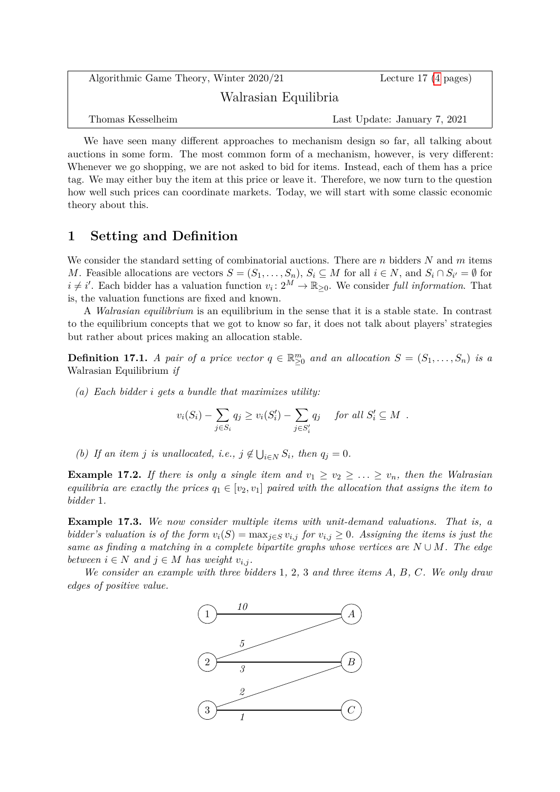| Algorithmic Game Theory, Winter 2020/21 | Lecture 17 $(4 \text{ pages})$ |
|-----------------------------------------|--------------------------------|
| Walrasian Equilibria                    |                                |
| Thomas Kesselheim                       | Last Update: January 7, 2021   |

We have seen many different approaches to mechanism design so far, all talking about auctions in some form. The most common form of a mechanism, however, is very different: Whenever we go shopping, we are not asked to bid for items. Instead, each of them has a price tag. We may either buy the item at this price or leave it. Therefore, we now turn to the question how well such prices can coordinate markets. Today, we will start with some classic economic theory about this.

## **1 Setting and Definition**

We consider the standard setting of combinatorial auctions. There are *n* bidders *N* and *m* items *M*. Feasible allocations are vectors  $S = (S_1, \ldots, S_n)$ ,  $S_i \subseteq M$  for all  $i \in N$ , and  $S_i \cap S_{i'} = \emptyset$  for  $i \neq i'$ . Each bidder has a valuation function  $v_i: 2^M \to \mathbb{R}_{\geq 0}$ . We consider *full information*. That is, the valuation functions are fixed and known.

A *Walrasian equilibrium* is an equilibrium in the sense that it is a stable state. In contrast to the equilibrium concepts that we got to know so far, it does not talk about players' strategies but rather about prices making an allocation stable.

**Definition 17.1.** *A pair of a price vector*  $q \in \mathbb{R}^m_{\geq 0}$  *and an allocation*  $S = (S_1, \ldots, S_n)$  *is a* Walrasian Equilibrium *if*

*(a) Each bidder i gets a bundle that maximizes utility:*

$$
v_i(S_i) - \sum_{j \in S_i} q_j \ge v_i(S'_i) - \sum_{j \in S'_i} q_j \quad \text{ for all } S'_i \subseteq M .
$$

*(b) If an item j is unallocated, i.e.,*  $j \notin \bigcup_{i \in N} S_i$ , *then*  $q_j = 0$ *.* 

**Example 17.2.** If there is only a single item and  $v_1 \ge v_2 \ge \ldots \ge v_n$ , then the Walrasian *equilibria are exactly the prices*  $q_1 \in [v_2, v_1]$  *paired with the allocation that assigns the item to bidder* 1*.*

**Example 17.3.** *We now consider multiple items with unit-demand valuations. That is, a bidder's valuation is of the form*  $v_i(S) = \max_{j \in S} v_{i,j}$  *for*  $v_{i,j} \geq 0$ *. Assigning the items is just the same as finding a matching in a complete bipartite graphs whose vertices are*  $N \cup M$ . The edge *between*  $i \in N$  *and*  $j \in M$  *has weight*  $v_{i,j}$ *.* 

*We consider an example with three bidders* 1*,* 2*,* 3 *and three items A, B, C. We only draw edges of positive value.*

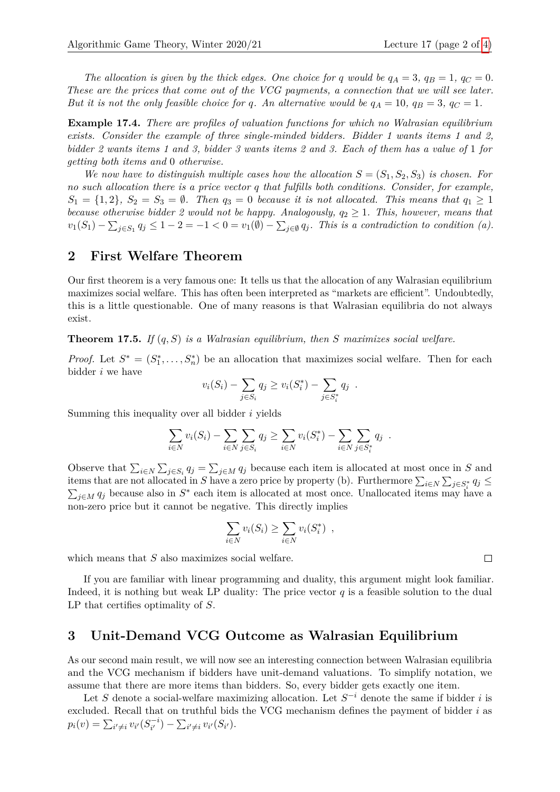*The allocation is given by the thick edges. One choice for q would be*  $q_A = 3$ *,*  $q_B = 1$ *,*  $q_C = 0$ *. These are the prices that come out of the VCG payments, a connection that we will see later. But it is not the only feasible choice for q. An alternative would be*  $q_A = 10$ ,  $q_B = 3$ ,  $q_C = 1$ *.* 

**Example 17.4.** *There are profiles of valuation functions for which no Walrasian equilibrium exists. Consider the example of three single-minded bidders. Bidder 1 wants items 1 and 2, bidder 2 wants items 1 and 3, bidder 3 wants items 2 and 3. Each of them has a value of* 1 *for getting both items and* 0 *otherwise.*

*We now have to distinguish multiple cases how the allocation*  $S = (S_1, S_2, S_3)$  *is chosen. For no such allocation there is a price vector q that fulfills both conditions. Consider, for example,*  $S_1 = \{1, 2\}$ ,  $S_2 = S_3 = \emptyset$ . Then  $q_3 = 0$  because it is not allocated. This means that  $q_1 \geq 1$ *because otherwise bidder 2 would not be happy. Analogously,*  $q_2 \geq 1$ *. This, however, means that*  $v_1(S_1) - \sum_{j \in S_1} q_j \leq 1 - 2 = -1 < 0 = v_1(\emptyset) - \sum_{j \in \emptyset} q_j$ . This is a contradiction to condition (a).

## **2 First Welfare Theorem**

Our first theorem is a very famous one: It tells us that the allocation of any Walrasian equilibrium maximizes social welfare. This has often been interpreted as "markets are efficient". Undoubtedly, this is a little questionable. One of many reasons is that Walrasian equilibria do not always exist.

**Theorem 17.5.** *If* (*q, S*) *is a Walrasian equilibrium, then S maximizes social welfare.*

*Proof.* Let  $S^* = (S_1^*, \ldots, S_n^*)$  be an allocation that maximizes social welfare. Then for each bidder *i* we have

$$
v_i(S_i) - \sum_{j \in S_i} q_j \ge v_i(S_i^*) - \sum_{j \in S_i^*} q_j.
$$

Summing this inequality over all bidder *i* yields

$$
\sum_{i \in N} v_i(S_i) - \sum_{i \in N} \sum_{j \in S_i} q_j \ge \sum_{i \in N} v_i(S_i^*) - \sum_{i \in N} \sum_{j \in S_i^*} q_j.
$$

Observe that  $\sum_{i\in N}\sum_{j\in S_i}q_j = \sum_{j\in M}q_j$  because each item is allocated at most once in *S* and items that are not allocated in *S* have a zero price by property (b). Furthermore  $\sum_{i\in N}\sum_{j\in S_i^*}q_j \leq$  $\sum_{j\in M} q_j$  because also in *S*<sup>\*</sup> each item is allocated at most once. Unallocated items may have a non-zero price but it cannot be negative. This directly implies

$$
\sum_{i \in N} v_i(S_i) \ge \sum_{i \in N} v_i(S_i^*) ,
$$

which means that *S* also maximizes social welfare.

If you are familiar with linear programming and duality, this argument might look familiar. Indeed, it is nothing but weak LP duality: The price vector  $q$  is a feasible solution to the dual LP that certifies optimality of *S*.

## **3 Unit-Demand VCG Outcome as Walrasian Equilibrium**

As our second main result, we will now see an interesting connection between Walrasian equilibria and the VCG mechanism if bidders have unit-demand valuations. To simplify notation, we assume that there are more items than bidders. So, every bidder gets exactly one item.

Let *S* denote a social-welfare maximizing allocation. Let  $S^{-i}$  denote the same if bidder *i* is excluded. Recall that on truthful bids the VCG mechanism defines the payment of bidder *i* as  $p_i(v) = \sum_{i' \neq i} v_{i'} (S_{i'}^{-i})$  $\sum_{i'}^{n-1}$ ) –  $\sum_{i'\neq i} v_{i'}(S_{i'}).$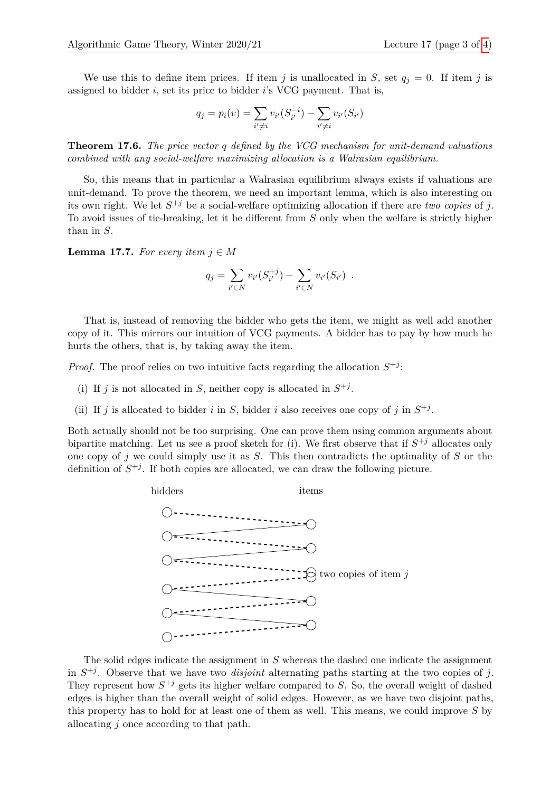We use this to define item prices. If item *j* is unallocated in *S*, set  $q_i = 0$ . If item *j* is assigned to bidder *i*, set its price to bidder *i*'s VCG payment. That is,

$$
q_j = p_i(v) = \sum_{i' \neq i} v_{i'}(S_{i'}^{-i}) - \sum_{i' \neq i} v_{i'}(S_{i'})
$$

<span id="page-2-0"></span>**Theorem 17.6.** *The price vector q defined by the VCG mechanism for unit-demand valuations combined with any social-welfare maximizing allocation is a Walrasian equilibrium.*

So, this means that in particular a Walrasian equilibrium always exists if valuations are unit-demand. To prove the theorem, we need an important lemma, which is also interesting on its own right. We let  $S^{+j}$  be a social-welfare optimizing allocation if there are *two copies* of *j*. To avoid issues of tie-breaking, let it be different from *S* only when the welfare is strictly higher than in *S*.

<span id="page-2-1"></span>**Lemma 17.7.** *For every item*  $j \in M$ 

$$
q_j = \sum_{i' \in N} v_{i'}(S_{i'}^{+j}) - \sum_{i' \in N} v_{i'}(S_{i'}) .
$$

That is, instead of removing the bidder who gets the item, we might as well add another copy of it. This mirrors our intuition of VCG payments. A bidder has to pay by how much he hurts the others, that is, by taking away the item.

*Proof.* The proof relies on two intuitive facts regarding the allocation  $S^{+j}$ .

- (i) If *j* is not allocated in *S*, neither copy is allocated in  $S^{+j}$ .
- (ii) If *j* is allocated to bidder *i* in *S*, bidder *i* also receives one copy of *j* in  $S^{+j}$ .

Both actually should not be too surprising. One can prove them using common arguments about bipartite matching. Let us see a proof sketch for (i). We first observe that if  $S^{+j}$  allocates only one copy of *j* we could simply use it as *S*. This then contradicts the optimality of *S* or the definition of  $S^{+j}$ . If both copies are allocated, we can draw the following picture.



The solid edges indicate the assignment in *S* whereas the dashed one indicate the assignment in  $S^{+j}$ . Observe that we have two *disjoint* alternating paths starting at the two copies of *j*. They represent how  $S^{+j}$  gets its higher welfare compared to *S*. So, the overall weight of dashed edges is higher than the overall weight of solid edges. However, as we have two disjoint paths, this property has to hold for at least one of them as well. This means, we could improve *S* by allocating *j* once according to that path.